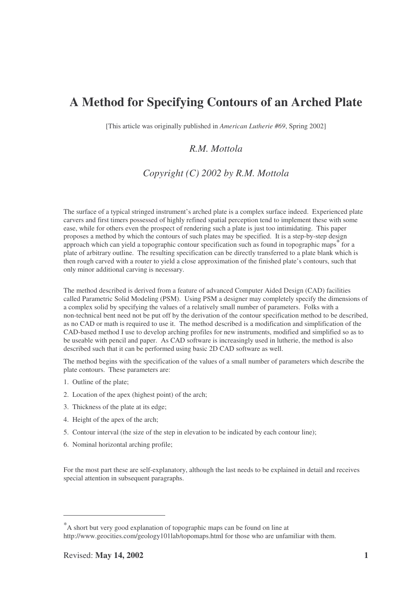[This article was originally published in *American Lutherie #69*, Spring 2002]

# *R.M. Mottola*

# *Copyright (C) 2002 by R.M. Mottola*

The surface of a typical stringed instrument's arched plate is a complex surface indeed. Experienced plate carvers and first timers possessed of highly refined spatial perception tend to implement these with some ease, while for others even the prospect of rendering such a plate is just too intimidating. This paper proposes a method by which the contours of such plates may be specified. It is a step-by-step design approach which can yield a topographic contour specification such as found in topographic maps for a plate of arbitrary outline. The resulting specification can be directly transferred to a plate blank which is then rough carved with a router to yield a close approximation of the finished plate's contours, such that only minor additional carving is necessary.

The method described is derived from a feature of advanced Computer Aided Design (CAD) facilities called Parametric Solid Modeling (PSM). Using PSM a designer may completely specify the dimensions of a complex solid by specifying the values of a relatively small number of parameters. Folks with a non-technical bent need not be put off by the derivation of the contour specification method to be described, as no CAD or math is required to use it. The method described is a modification and simplification of the CAD-based method I use to develop arching profiles for new instruments, modified and simplified so as to be useable with pencil and paper. As CAD software is increasingly used in lutherie, the method is also described such that it can be performed using basic 2D CAD software as well.

The method begins with the specification of the values of a small number of parameters which describe the plate contours. These parameters are:

- 1. Outline of the plate;
- 2. Location of the apex (highest point) of the arch;
- 3. Thickness of the plate at its edge;
- 4. Height of the apex of the arch;
- 5. Contour interval (the size of the step in elevation to be indicated by each contour line);
- 6. Nominal horizontal arching profile;

For the most part these are self-explanatory, although the last needs to be explained in detail and receives special attention in subsequent paragraphs.

<sup>\*</sup>A short but very good explanation of topographic maps can be found on line at http://www.geocities.com/geology101lab/topomaps.html for those who are unfamiliar with them.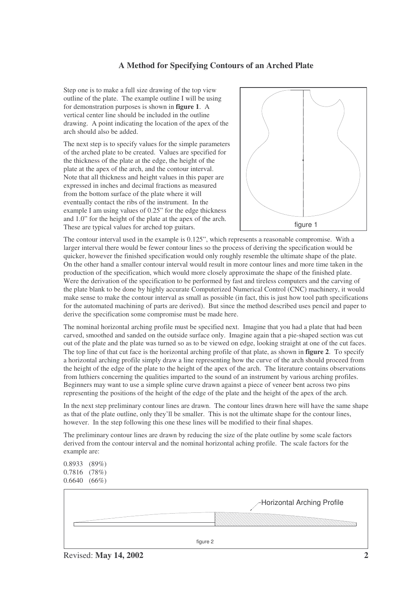Step one is to make a full size drawing of the top view outline of the plate. The example outline I will be using for demonstration purposes is shown in **figure 1**. A vertical center line should be included in the outline drawing. A point indicating the location of the apex of the arch should also be added.

The next step is to specify values for the simple parameters of the arched plate to be created. Values are specified for the thickness of the plate at the edge, the height of the plate at the apex of the arch, and the contour interval. Note that all thickness and height values in this paper are expressed in inches and decimal fractions as measured from the bottom surface of the plate where it will eventually contact the ribs of the instrument. In the example I am using values of 0.25" for the edge thickness and 1.0" for the height of the plate at the apex of the arch. These are typical values for arched top guitars.



The contour interval used in the example is 0.125", which represents a reasonable compromise. With a larger interval there would be fewer contour lines so the process of deriving the specification would be quicker, however the finished specification would only roughly resemble the ultimate shape of the plate. On the other hand a smaller contour interval would result in more contour lines and more time taken in the production of the specification, which would more closely approximate the shape of the finished plate. Were the derivation of the specification to be performed by fast and tireless computers and the carving of the plate blank to be done by highly accurate Computerized Numerical Control (CNC) machinery, it would make sense to make the contour interval as small as possible (in fact, this is just how tool path specifications for the automated machining of parts are derived). But since the method described uses pencil and paper to derive the specification some compromise must be made here.

The nominal horizontal arching profile must be specified next. Imagine that you had a plate that had been carved, smoothed and sanded on the outside surface only. Imagine again that a pie-shaped section was cut out of the plate and the plate was turned so as to be viewed on edge, looking straight at one of the cut faces. The top line of that cut face is the horizontal arching profile of that plate, as shown in **figure 2**. To specify a horizontal arching profile simply draw a line representing how the curve of the arch should proceed from the height of the edge of the plate to the height of the apex of the arch. The literature contains observations from luthiers concerning the qualities imparted to the sound of an instrument by various arching profiles. Beginners may want to use a simple spline curve drawn against a piece of veneer bent across two pins representing the positions of the height of the edge of the plate and the height of the apex of the arch.

In the next step preliminary contour lines are drawn. The contour lines drawn here will have the same shape as that of the plate outline, only they'll be smaller. This is not the ultimate shape for the contour lines, however. In the step following this one these lines will be modified to their final shapes.

The preliminary contour lines are drawn by reducing the size of the plate outline by some scale factors derived from the contour interval and the nominal horizontal aching profile. The scale factors for the example are:

0.8933 (89%) 0.7816 (78%) 0.6640 (66%)

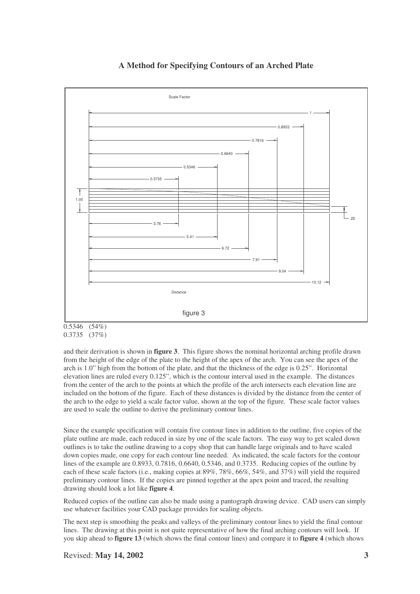

<sup>0.5346</sup> (54%) 0.3735 (37%)

and their derivation is shown in **figure 3**. This figure shows the nominal horizontal arching profile drawn from the height of the edge of the plate to the height of the apex of the arch. You can see the apex of the arch is 1.0" high from the bottom of the plate, and that the thickness of the edge is 0.25". Horizontal elevation lines are ruled every 0.125", which is the contour interval used in the example. The distances from the center of the arch to the points at which the profile of the arch intersects each elevation line are included on the bottom of the figure. Each of these distances is divided by the distance from the center of the arch to the edge to yield a scale factor value, shown at the top of the figure. These scale factor values are used to scale the outline to derive the preliminary contour lines.

Since the example specification will contain five contour lines in addition to the outline, five copies of the plate outline are made, each reduced in size by one of the scale factors. The easy way to get scaled down outlines is to take the outline drawing to a copy shop that can handle large originals and to have scaled down copies made, one copy for each contour line needed. As indicated, the scale factors for the contour lines of the example are 0.8933, 0.7816, 0.6640, 0.5346, and 0.3735. Reducing copies of the outline by each of these scale factors (i.e., making copies at 89%, 78%, 66%, 54%, and 37%) will yield the required preliminary contour lines. If the copies are pinned together at the apex point and traced, the resulting drawing should look a lot like **figure 4**.

Reduced copies of the outline can also be made using a pantograph drawing device. CAD users can simply use whatever facilities your CAD package provides for scaling objects.

The next step is smoothing the peaks and valleys of the preliminary contour lines to yield the final contour lines. The drawing at this point is not quite representative of how the final arching contours will look. If you skip ahead to **figure 13** (which shows the final contour lines) and compare it to **figure 4** (which shows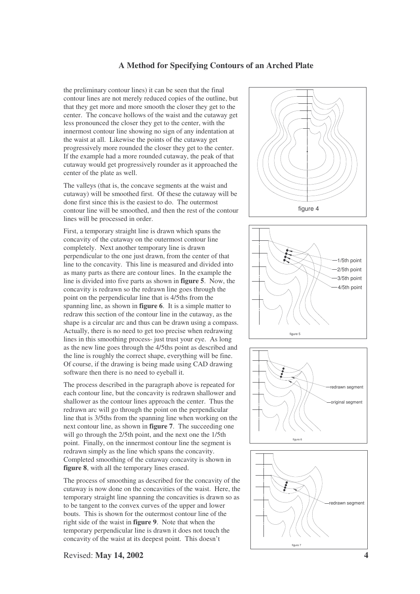the preliminary contour lines) it can be seen that the final contour lines are not merely reduced copies of the outline, but that they get more and more smooth the closer they get to the center. The concave hollows of the waist and the cutaway get less pronounced the closer they get to the center, with the innermost contour line showing no sign of any indentation at the waist at all. Likewise the points of the cutaway get progressively more rounded the closer they get to the center. If the example had a more rounded cutaway, the peak of that cutaway would get progressively rounder as it approached the center of the plate as well.

The valleys (that is, the concave segments at the waist and cutaway) will be smoothed first. Of these the cutaway will be done first since this is the easiest to do. The outermost contour line will be smoothed, and then the rest of the contour lines will be processed in order.

First, a temporary straight line is drawn which spans the concavity of the cutaway on the outermost contour line completely. Next another temporary line is drawn perpendicular to the one just drawn, from the center of that line to the concavity. This line is measured and divided into as many parts as there are contour lines. In the example the line is divided into five parts as shown in **figure 5**. Now, the concavity is redrawn so the redrawn line goes through the point on the perpendicular line that is 4/5ths from the spanning line, as shown in **figure 6**. It is a simple matter to redraw this section of the contour line in the cutaway, as the shape is a circular arc and thus can be drawn using a compass. Actually, there is no need to get too precise when redrawing lines in this smoothing process- just trust your eye. As long as the new line goes through the 4/5ths point as described and the line is roughly the correct shape, everything will be fine. Of course, if the drawing is being made using CAD drawing software then there is no need to eyeball it.

The process described in the paragraph above is repeated for each contour line, but the concavity is redrawn shallower and shallower as the contour lines approach the center. Thus the redrawn arc will go through the point on the perpendicular line that is 3/5ths from the spanning line when working on the next contour line, as shown in **figure 7**. The succeeding one will go through the 2/5th point, and the next one the 1/5th point. Finally, on the innermost contour line the segment is redrawn simply as the line which spans the concavity. Completed smoothing of the cutaway concavity is shown in **figure 8**, with all the temporary lines erased.

The process of smoothing as described for the concavity of the cutaway is now done on the concavities of the waist. Here, the temporary straight line spanning the concavities is drawn so as to be tangent to the convex curves of the upper and lower bouts. This is shown for the outermost contour line of the right side of the waist in **figure 9**. Note that when the temporary perpendicular line is drawn it does not touch the concavity of the waist at its deepest point. This doesn't







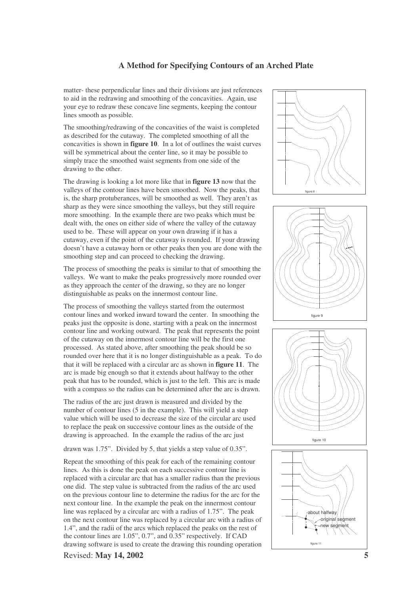matter- these perpendicular lines and their divisions are just references to aid in the redrawing and smoothing of the concavities. Again, use your eye to redraw these concave line segments, keeping the contour lines smooth as possible.

The smoothing/redrawing of the concavities of the waist is completed as described for the cutaway. The completed smoothing of all the concavities is shown in **figure 10**. In a lot of outlines the waist curves will be symmetrical about the center line, so it may be possible to simply trace the smoothed waist segments from one side of the drawing to the other.

The drawing is looking a lot more like that in **figure 13** now that the valleys of the contour lines have been smoothed. Now the peaks, that is, the sharp protuberances, will be smoothed as well. They aren't as sharp as they were since smoothing the valleys, but they still require more smoothing. In the example there are two peaks which must be dealt with, the ones on either side of where the valley of the cutaway used to be. These will appear on your own drawing if it has a cutaway, even if the point of the cutaway is rounded. If your drawing doesn't have a cutaway horn or other peaks then you are done with the smoothing step and can proceed to checking the drawing.

The process of smoothing the peaks is similar to that of smoothing the valleys. We want to make the peaks progressively more rounded over as they approach the center of the drawing, so they are no longer distinguishable as peaks on the innermost contour line.

The process of smoothing the valleys started from the outermost contour lines and worked inward toward the center. In smoothing the peaks just the opposite is done, starting with a peak on the innermost contour line and working outward. The peak that represents the point of the cutaway on the innermost contour line will be the first one processed. As stated above, after smoothing the peak should be so rounded over here that it is no longer distinguishable as a peak. To do that it will be replaced with a circular arc as shown in **figure 11**. The arc is made big enough so that it extends about halfway to the other peak that has to be rounded, which is just to the left. This arc is made with a compass so the radius can be determined after the arc is drawn.

The radius of the arc just drawn is measured and divided by the number of contour lines (5 in the example). This will yield a step value which will be used to decrease the size of the circular arc used to replace the peak on successive contour lines as the outside of the drawing is approached. In the example the radius of the arc just

drawn was 1.75". Divided by 5, that yields a step value of 0.35".

Repeat the smoothing of this peak for each of the remaining contour lines. As this is done the peak on each successive contour line is replaced with a circular arc that has a smaller radius than the previous one did. The step value is subtracted from the radius of the arc used on the previous contour line to determine the radius for the arc for the next contour line. In the example the peak on the innermost contour line was replaced by a circular arc with a radius of 1.75". The peak on the next contour line was replaced by a circular arc with a radius of 1.4", and the radii of the arcs which replaced the peaks on the rest of the contour lines are 1.05", 0.7", and 0.35" respectively. If CAD drawing software is used to create the drawing this rounding operation









Revised: **May 14, 2002 5**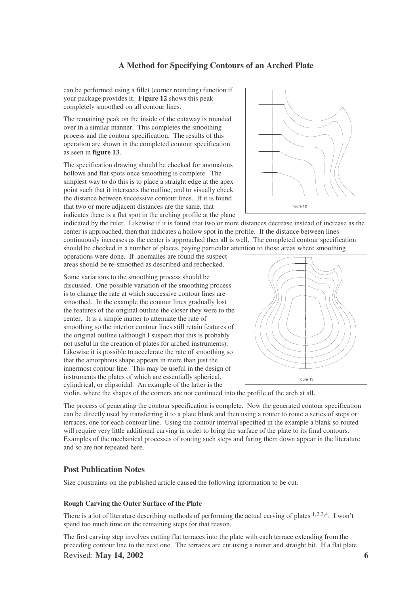can be performed using a fillet (corner rounding) function if your package provides it. **Figure 12** shows this peak completely smoothed on all contour lines.

The remaining peak on the inside of the cutaway is rounded over in a similar manner. This completes the smoothing process and the contour specification. The results of this operation are shown in the completed contour specification as seen in **figure 13**.

The specification drawing should be checked for anomalous hollows and flat spots once smoothing is complete. The simplest way to do this is to place a straight edge at the apex point such that it intersects the outline, and to visually check the distance between successive contour lines. If it is found that two or more adjacent distances are the same, that indicates there is a flat spot in the arching profile at the plane

indicated by the ruler. Likewise if it is found that two or more distances decrease instead of increase as the center is approached, then that indicates a hollow spot in the profile. If the distance between lines continuously increases as the center is approached then all is well. The completed contour specification should be checked in a number of places, paying particular attention to those areas where smoothing

operations were done. If anomalies are found the suspect areas should be re-smoothed as described and rechecked.

Some variations to the smoothing process should be discussed. One possible variation of the smoothing process is to change the rate at which successive contour lines are smoothed. In the example the contour lines gradually lost the features of the original outline the closer they were to the center. It is a simple matter to attenuate the rate of smoothing so the interior contour lines still retain features of the original outline (although I suspect that this is probably not useful in the creation of plates for arched instruments). Likewise it is possible to accelerate the rate of smoothing so that the amorphous shape appears in more than just the innermost contour line. This may be useful in the design of instruments the plates of which are essentially spherical, cylindrical, or elipsoidal. An example of the latter is the

figure 13

violin, where the shapes of the corners are not continued into the profile of the arch at all.

The process of generating the contour specification is complete. Now the generated contour specification can be directly used by transferring it to a plate blank and then using a router to route a series of steps or terraces, one for each contour line. Using the contour interval specified in the example a blank so routed will require very little additional carving in order to bring the surface of the plate to its final contours. Examples of the mechanical processes of routing such steps and faring them down appear in the literature and so are not repeated here.

#### **Post Publication Notes**

Size constraints on the published article caused the following information to be cut.

#### **Rough Carving the Outer Surface of the Plate**

There is a lot of literature describing methods of performing the actual carving of plates <sup>1,2,3,4</sup>. I won't spend too much time on the remaining steps for that reason.

The first carving step involves cutting flat terraces into the plate with each terrace extending from the preceding contour line to the next one. The terraces are cut using a router and straight bit. If a flat plate Revised: **May 14, 2002 6**



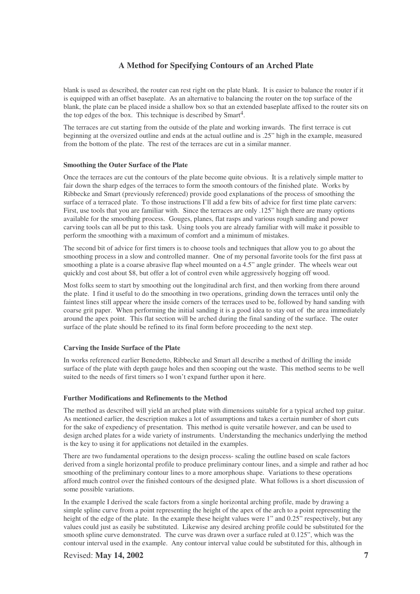blank is used as described, the router can rest right on the plate blank. It is easier to balance the router if it is equipped with an offset baseplate. As an alternative to balancing the router on the top surface of the blank, the plate can be placed inside a shallow box so that an extended baseplate affixed to the router sits on the top edges of the box. This technique is described by Smart<sup>4</sup>.

The terraces are cut starting from the outside of the plate and working inwards. The first terrace is cut beginning at the oversized outline and ends at the actual outline and is .25" high in the example, measured from the bottom of the plate. The rest of the terraces are cut in a similar manner.

#### **Smoothing the Outer Surface of the Plate**

Once the terraces are cut the contours of the plate become quite obvious. It is a relatively simple matter to fair down the sharp edges of the terraces to form the smooth contours of the finished plate. Works by Ribbecke and Smart (previously referenced) provide good explanations of the process of smoothing the surface of a terraced plate. To those instructions I'll add a few bits of advice for first time plate carvers: First, use tools that you are familiar with. Since the terraces are only .125" high there are many options available for the smoothing process. Gouges, planes, flat rasps and various rough sanding and power carving tools can all be put to this task. Using tools you are already familiar with will make it possible to perform the smoothing with a maximum of comfort and a minimum of mistakes.

The second bit of advice for first timers is to choose tools and techniques that allow you to go about the smoothing process in a slow and controlled manner. One of my personal favorite tools for the first pass at smoothing a plate is a coarse abrasive flap wheel mounted on a 4.5" angle grinder. The wheels wear out quickly and cost about \$8, but offer a lot of control even while aggressively hogging off wood.

Most folks seem to start by smoothing out the longitudinal arch first, and then working from there around the plate. I find it useful to do the smoothing in two operations, grinding down the terraces until only the faintest lines still appear where the inside corners of the terraces used to be, followed by hand sanding with coarse grit paper. When performing the initial sanding it is a good idea to stay out of the area immediately around the apex point. This flat section will be arched during the final sanding of the surface. The outer surface of the plate should be refined to its final form before proceeding to the next step.

#### **Carving the Inside Surface of the Plate**

In works referenced earlier Benedetto, Ribbecke and Smart all describe a method of drilling the inside surface of the plate with depth gauge holes and then scooping out the waste. This method seems to be well suited to the needs of first timers so I won't expand further upon it here.

#### **Further Modifications and Refinements to the Method**

The method as described will yield an arched plate with dimensions suitable for a typical arched top guitar. As mentioned earlier, the description makes a lot of assumptions and takes a certain number of short cuts for the sake of expediency of presentation. This method is quite versatile however, and can be used to design arched plates for a wide variety of instruments. Understanding the mechanics underlying the method is the key to using it for applications not detailed in the examples.

There are two fundamental operations to the design process- scaling the outline based on scale factors derived from a single horizontal profile to produce preliminary contour lines, and a simple and rather ad hoc smoothing of the preliminary contour lines to a more amorphous shape. Variations to these operations afford much control over the finished contours of the designed plate. What follows is a short discussion of some possible variations.

In the example I derived the scale factors from a single horizontal arching profile, made by drawing a simple spline curve from a point representing the height of the apex of the arch to a point representing the height of the edge of the plate. In the example these height values were 1" and 0.25" respectively, but any values could just as easily be substituted. Likewise any desired arching profile could be substituted for the smooth spline curve demonstrated. The curve was drawn over a surface ruled at 0.125", which was the contour interval used in the example. Any contour interval value could be substituted for this, although in